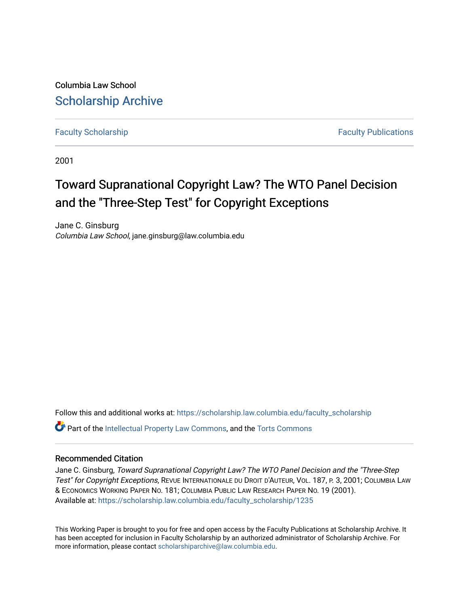Columbia Law School [Scholarship Archive](https://scholarship.law.columbia.edu/) 

[Faculty Scholarship](https://scholarship.law.columbia.edu/faculty_scholarship) **Faculty Scholarship Faculty Publications** 

2001

# Toward Supranational Copyright Law? The WTO Panel Decision and the "Three-Step Test" for Copyright Exceptions

Jane C. Ginsburg Columbia Law School, jane.ginsburg@law.columbia.edu

Follow this and additional works at: [https://scholarship.law.columbia.edu/faculty\\_scholarship](https://scholarship.law.columbia.edu/faculty_scholarship?utm_source=scholarship.law.columbia.edu%2Ffaculty_scholarship%2F1235&utm_medium=PDF&utm_campaign=PDFCoverPages) Part of the [Intellectual Property Law Commons,](http://network.bepress.com/hgg/discipline/896?utm_source=scholarship.law.columbia.edu%2Ffaculty_scholarship%2F1235&utm_medium=PDF&utm_campaign=PDFCoverPages) and the [Torts Commons](http://network.bepress.com/hgg/discipline/913?utm_source=scholarship.law.columbia.edu%2Ffaculty_scholarship%2F1235&utm_medium=PDF&utm_campaign=PDFCoverPages) 

#### Recommended Citation

Jane C. Ginsburg, Toward Supranational Copyright Law? The WTO Panel Decision and the "Three-Step Test" for Copyright Exceptions, REVUE INTERNATIONALE DU DROIT D'AUTEUR, VOL. 187, P. 3, 2001; COLUMBIA LAW & ECONOMICS WORKING PAPER NO. 181; COLUMBIA PUBLIC LAW RESEARCH PAPER NO. 19 (2001). Available at: [https://scholarship.law.columbia.edu/faculty\\_scholarship/1235](https://scholarship.law.columbia.edu/faculty_scholarship/1235?utm_source=scholarship.law.columbia.edu%2Ffaculty_scholarship%2F1235&utm_medium=PDF&utm_campaign=PDFCoverPages)

This Working Paper is brought to you for free and open access by the Faculty Publications at Scholarship Archive. It has been accepted for inclusion in Faculty Scholarship by an authorized administrator of Scholarship Archive. For more information, please contact [scholarshiparchive@law.columbia.edu.](mailto:scholarshiparchive@law.columbia.edu)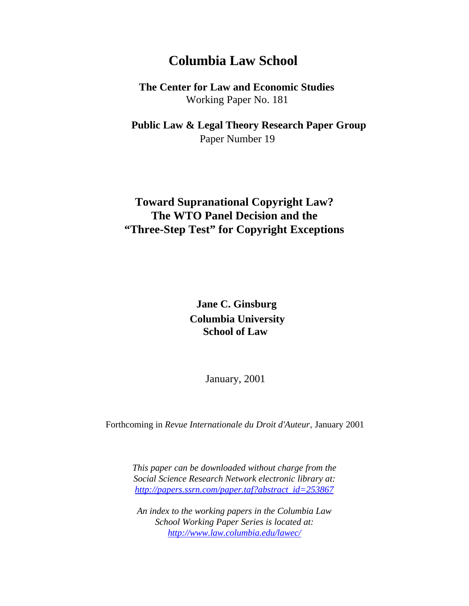## **Columbia Law School**

**The Center for Law and Economic Studies** Working Paper No. 181

**Public Law & Legal Theory Research Paper Group** Paper Number 19

### **Toward Supranational Copyright Law? The WTO Panel Decision and the "Three-Step Test" for Copyright Exceptions**

**School of Law Columbia University Jane C. Ginsburg**

January, 2001

Forthcoming in *Revue Internationale du Droit d'Auteur*, January 2001

*This paper can be downloaded without charge from the Social Science Research Network electronic library at: http://papers.ssrn.com/paper.taf?abstract\_id=253867*

*An index to the working papers in the Columbia Law School Working Paper Series is located at: http://www.law.columbia.edu/lawec/*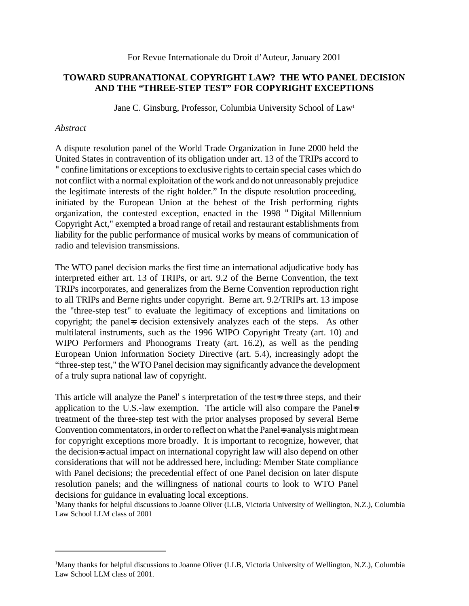#### **TOWARD SUPRANATIONAL COPYRIGHT LAW? THE WTO PANEL DECISION AND THE "THREE-STEP TEST" FOR COPYRIGHT EXCEPTIONS**

Jane C. Ginsburg, Professor, Columbia University School of Law1

#### *Abstract*

A dispute resolution panel of the World Trade Organization in June 2000 held the United States in contravention of its obligation under art. 13 of the TRIPs accord to "confine limitations or exceptions to exclusive rights to certain special cases which do not conflict with a normal exploitation of the work and do not unreasonably prejudice the legitimate interests of the right holder." In the dispute resolution proceeding, initiated by the European Union at the behest of the Irish performing rights organization, the contested exception, enacted in the 1998 "Digital Millennium Copyright Act," exempted a broad range of retail and restaurant establishments from liability for the public performance of musical works by means of communication of radio and television transmissions.

The WTO panel decision marks the first time an international adjudicative body has interpreted either art. 13 of TRIPs, or art. 9.2 of the Berne Convention, the text TRIPs incorporates, and generalizes from the Berne Convention reproduction right to all TRIPs and Berne rights under copyright. Berne art. 9.2/TRIPs art. 13 impose the "three-step test" to evaluate the legitimacy of exceptions and limitations on copyright; the panel-s decision extensively analyzes each of the steps. As other multilateral instruments, such as the 1996 WIPO Copyright Treaty (art. 10) and WIPO Performers and Phonograms Treaty (art. 16.2), as well as the pending European Union Information Society Directive (art. 5.4), increasingly adopt the "three-step test," the WTO Panel decision may significantly advance the development of a truly supra national law of copyright.

This article will analyze the Panel's interpretation of the test is three steps, and their application to the U.S.-law exemption. The article will also compare the Panel-s treatment of the three-step test with the prior analyses proposed by several Berne Convention commentators, in order to reflect on what the Panels analysis might mean for copyright exceptions more broadly. It is important to recognize, however, that the decision=s actual impact on international copyright law will also depend on other considerations that will not be addressed here, including: Member State compliance with Panel decisions; the precedential effect of one Panel decision on later dispute resolution panels; and the willingness of national courts to look to WTO Panel decisions for guidance in evaluating local exceptions.

<sup>1</sup>Many thanks for helpful discussions to Joanne Oliver (LLB, Victoria University of Wellington, N.Z.), Columbia Law School LLM class of 2001

<sup>&</sup>lt;sup>1</sup>Many thanks for helpful discussions to Joanne Oliver (LLB, Victoria University of Wellington, N.Z.), Columbia Law School LLM class of 2001.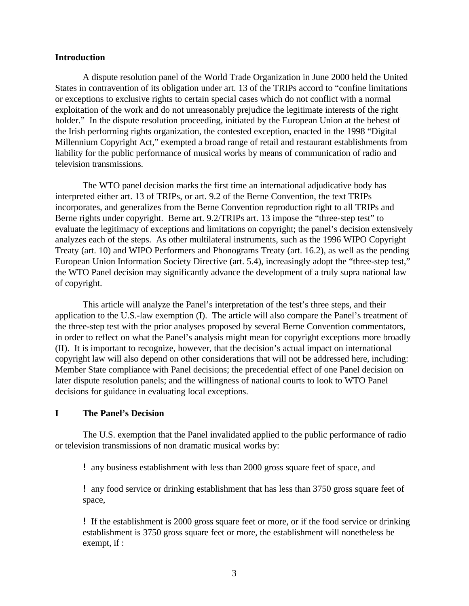#### **Introduction**

A dispute resolution panel of the World Trade Organization in June 2000 held the United States in contravention of its obligation under art. 13 of the TRIPs accord to "confine limitations or exceptions to exclusive rights to certain special cases which do not conflict with a normal exploitation of the work and do not unreasonably prejudice the legitimate interests of the right holder." In the dispute resolution proceeding, initiated by the European Union at the behest of the Irish performing rights organization, the contested exception, enacted in the 1998 "Digital Millennium Copyright Act," exempted a broad range of retail and restaurant establishments from liability for the public performance of musical works by means of communication of radio and television transmissions.

The WTO panel decision marks the first time an international adjudicative body has interpreted either art. 13 of TRIPs, or art. 9.2 of the Berne Convention, the text TRIPs incorporates, and generalizes from the Berne Convention reproduction right to all TRIPs and Berne rights under copyright. Berne art. 9.2/TRIPs art. 13 impose the "three-step test" to evaluate the legitimacy of exceptions and limitations on copyright; the panel's decision extensively analyzes each of the steps. As other multilateral instruments, such as the 1996 WIPO Copyright Treaty (art. 10) and WIPO Performers and Phonograms Treaty (art. 16.2), as well as the pending European Union Information Society Directive (art. 5.4), increasingly adopt the "three-step test," the WTO Panel decision may significantly advance the development of a truly supra national law of copyright.

This article will analyze the Panel's interpretation of the test's three steps, and their application to the U.S.-law exemption (I). The article will also compare the Panel's treatment of the three-step test with the prior analyses proposed by several Berne Convention commentators, in order to reflect on what the Panel's analysis might mean for copyright exceptions more broadly (II). It is important to recognize, however, that the decision's actual impact on international copyright law will also depend on other considerations that will not be addressed here, including: Member State compliance with Panel decisions; the precedential effect of one Panel decision on later dispute resolution panels; and the willingness of national courts to look to WTO Panel decisions for guidance in evaluating local exceptions.

#### **I The Panel's Decision**

The U.S. exemption that the Panel invalidated applied to the public performance of radio or television transmissions of non dramatic musical works by:

! any business establishment with less than 2000 gross square feet of space, and

! any food service or drinking establishment that has less than 3750 gross square feet of space,

! If the establishment is 2000 gross square feet or more, or if the food service or drinking establishment is 3750 gross square feet or more, the establishment will nonetheless be exempt, if :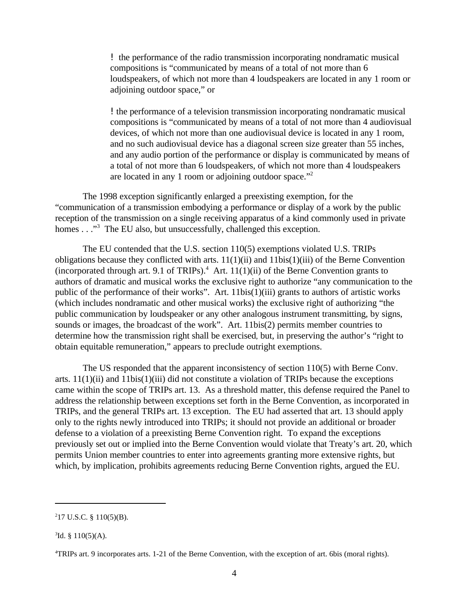! the performance of the radio transmission incorporating nondramatic musical compositions is "communicated by means of a total of not more than 6 loudspeakers, of which not more than 4 loudspeakers are located in any 1 room or adjoining outdoor space," or

!the performance of a television transmission incorporating nondramatic musical compositions is "communicated by means of a total of not more than 4 audiovisual devices, of which not more than one audiovisual device is located in any 1 room, and no such audiovisual device has a diagonal screen size greater than 55 inches, and any audio portion of the performance or display is communicated by means of a total of not more than 6 loudspeakers, of which not more than 4 loudspeakers are located in any 1 room or adjoining outdoor space."<sup>2</sup>

The 1998 exception significantly enlarged a preexisting exemption, for the "communication of a transmission embodying a performance or display of a work by the public reception of the transmission on a single receiving apparatus of a kind commonly used in private homes . . ."<sup>3</sup> The EU also, but unsuccessfully, challenged this exception.

The EU contended that the U.S. section 110(5) exemptions violated U.S. TRIPs obligations because they conflicted with arts.  $11(1)(ii)$  and  $11bis(1)(iii)$  of the Berne Convention (incorporated through art. 9.1 of TRIPs). $4$  Art. 11(1)(ii) of the Berne Convention grants to authors of dramatic and musical works the exclusive right to authorize "any communication to the public of the performance of their works". Art. 11bis(1)(iii) grants to authors of artistic works (which includes nondramatic and other musical works) the exclusive right of authorizing "the public communication by loudspeaker or any other analogous instrument transmitting, by signs, sounds or images, the broadcast of the work". Art. 11bis(2) permits member countries to determine how the transmission right shall be exercised, but, in preserving the author's "right to obtain equitable remuneration," appears to preclude outright exemptions.

The US responded that the apparent inconsistency of section 110(5) with Berne Conv. arts.  $11(1)(ii)$  and  $11bis(1)(iii)$  did not constitute a violation of TRIPs because the exceptions came within the scope of TRIPs art. 13. As a threshold matter, this defense required the Panel to address the relationship between exceptions set forth in the Berne Convention, as incorporated in TRIPs, and the general TRIPs art. 13 exception. The EU had asserted that art. 13 should apply only to the rights newly introduced into TRIPs; it should not provide an additional or broader defense to a violation of a preexisting Berne Convention right. To expand the exceptions previously set out or implied into the Berne Convention would violate that Treaty's art. 20, which permits Union member countries to enter into agreements granting more extensive rights, but which, by implication, prohibits agreements reducing Berne Convention rights, argued the EU.

 $217$  U.S.C. §  $110(5)(B)$ .

 ${}^{3}$ Id. § 110(5)(A).

<sup>4</sup>TRIPs art. 9 incorporates arts. 1-21 of the Berne Convention, with the exception of art. 6bis (moral rights).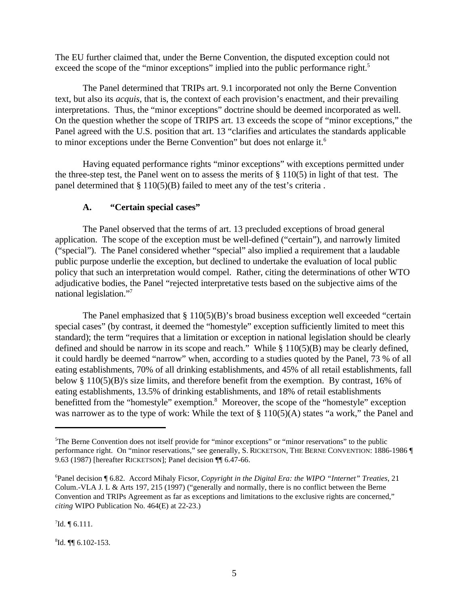The EU further claimed that, under the Berne Convention, the disputed exception could not exceed the scope of the "minor exceptions" implied into the public performance right.<sup>5</sup>

The Panel determined that TRIPs art. 9.1 incorporated not only the Berne Convention text, but also its *acquis*, that is, the context of each provision's enactment, and their prevailing interpretations. Thus, the "minor exceptions" doctrine should be deemed incorporated as well. On the question whether the scope of TRIPS art. 13 exceeds the scope of "minor exceptions," the Panel agreed with the U.S. position that art. 13 "clarifies and articulates the standards applicable to minor exceptions under the Berne Convention" but does not enlarge it.<sup>6</sup>

Having equated performance rights "minor exceptions" with exceptions permitted under the three-step test, the Panel went on to assess the merits of  $\S 110(5)$  in light of that test. The panel determined that  $\S 110(5)(B)$  failed to meet any of the test's criteria.

#### **A. "Certain special cases"**

The Panel observed that the terms of art. 13 precluded exceptions of broad general application. The scope of the exception must be well-defined ("certain"), and narrowly limited ("special"). The Panel considered whether "special" also implied a requirement that a laudable public purpose underlie the exception, but declined to undertake the evaluation of local public policy that such an interpretation would compel. Rather, citing the determinations of other WTO adjudicative bodies, the Panel "rejected interpretative tests based on the subjective aims of the national legislation."<sup>7</sup>

The Panel emphasized that  $\S 110(5)(B)$ 's broad business exception well exceeded "certain" special cases" (by contrast, it deemed the "homestyle" exception sufficiently limited to meet this standard); the term "requires that a limitation or exception in national legislation should be clearly defined and should be narrow in its scope and reach." While § 110(5)(B) may be clearly defined, it could hardly be deemed "narrow" when, according to a studies quoted by the Panel, 73 % of all eating establishments, 70% of all drinking establishments, and 45% of all retail establishments, fall below § 110(5)(B)'s size limits, and therefore benefit from the exemption. By contrast, 16% of eating establishments, 13.5% of drinking establishments, and 18% of retail establishments benefitted from the "homestyle" exemption.<sup>8</sup> Moreover, the scope of the "homestyle" exception was narrower as to the type of work: While the text of  $\S 110(5)$ (A) states "a work," the Panel and

 $^7$ Id. ¶ 6.111.

 ${}^{8}$ Id. ¶¶ 6.102-153.

<sup>&</sup>lt;sup>5</sup>The Berne Convention does not itself provide for "minor exceptions" or "minor reservations" to the public performance right. On "minor reservations," see generally, S. RICKETSON, THE BERNE CONVENTION: 1886-1986 ¶ 9.63 (1987) [hereafter RICKETSON]; Panel decision ¶¶ 6.47-66.

<sup>6</sup>Panel decision ¶ 6.82. Accord Mihaly Ficsor, *Copyright in the Digital Era: the WIPO "Internet" Treaties*, 21 Colum.-VLA J. L & Arts 197, 215 (1997) ("generally and normally, there is no conflict between the Berne Convention and TRIPs Agreement as far as exceptions and limitations to the exclusive rights are concerned," *citing* WIPO Publication No. 464(E) at 22-23.)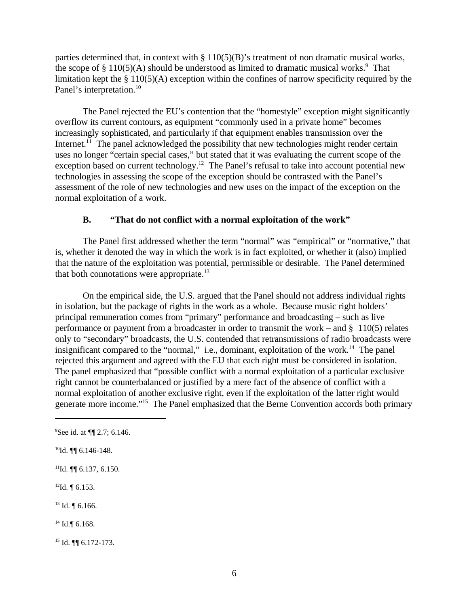parties determined that, in context with § 110(5)(B)'s treatment of non dramatic musical works, the scope of  $\S 110(5)$ (A) should be understood as limited to dramatic musical works.<sup>9</sup> That limitation kept the § 110(5)(A) exception within the confines of narrow specificity required by the Panel's interpretation.<sup>10</sup>

The Panel rejected the EU's contention that the "homestyle" exception might significantly overflow its current contours, as equipment "commonly used in a private home" becomes increasingly sophisticated, and particularly if that equipment enables transmission over the Internet.<sup>11</sup> The panel acknowledged the possibility that new technologies might render certain uses no longer "certain special cases," but stated that it was evaluating the current scope of the exception based on current technology.<sup>12</sup> The Panel's refusal to take into account potential new technologies in assessing the scope of the exception should be contrasted with the Panel's assessment of the role of new technologies and new uses on the impact of the exception on the normal exploitation of a work.

#### **B. "That do not conflict with a normal exploitation of the work"**

The Panel first addressed whether the term "normal" was "empirical" or "normative," that is, whether it denoted the way in which the work is in fact exploited, or whether it (also) implied that the nature of the exploitation was potential, permissible or desirable. The Panel determined that both connotations were appropriate.<sup>13</sup>

On the empirical side, the U.S. argued that the Panel should not address individual rights in isolation, but the package of rights in the work as a whole. Because music right holders' principal remuneration comes from "primary" performance and broadcasting – such as live performance or payment from a broadcaster in order to transmit the work – and  $\S$  110(5) relates only to "secondary" broadcasts, the U.S. contended that retransmissions of radio broadcasts were insignificant compared to the "normal," i.e., dominant, exploitation of the work.<sup>14</sup> The panel rejected this argument and agreed with the EU that each right must be considered in isolation. The panel emphasized that "possible conflict with a normal exploitation of a particular exclusive right cannot be counterbalanced or justified by a mere fact of the absence of conflict with a normal exploitation of another exclusive right, even if the exploitation of the latter right would generate more income."15 The Panel emphasized that the Berne Convention accords both primary

 $11$ Id. ¶¶ 6.137, 6.150.

 $^{12}$ Id. ¶ 6.153.

 $13$  Id. ¶ 6.166.

 $14$  Id. [6.168.]

<sup>15</sup> Id. ¶¶ 6.172-173.

<sup>&</sup>lt;sup>9</sup>See id. at  $\P$ [2.7; 6.146.

 $^{10}$ Id. ¶¶ 6.146-148.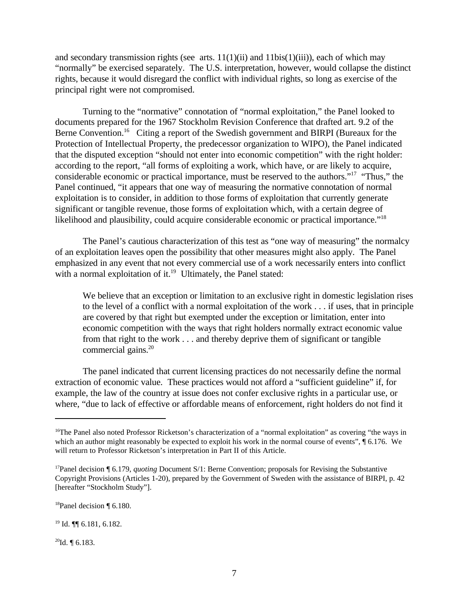and secondary transmission rights (see arts.  $11(1)(ii)$  and  $11bis(1)(iii)$ ), each of which may "normally" be exercised separately. The U.S. interpretation, however, would collapse the distinct rights, because it would disregard the conflict with individual rights, so long as exercise of the principal right were not compromised.

Turning to the "normative" connotation of "normal exploitation," the Panel looked to documents prepared for the 1967 Stockholm Revision Conference that drafted art. 9.2 of the Berne Convention.<sup>16</sup> Citing a report of the Swedish government and BIRPI (Bureaux for the Protection of Intellectual Property, the predecessor organization to WIPO), the Panel indicated that the disputed exception "should not enter into economic competition" with the right holder: according to the report, "all forms of exploiting a work, which have, or are likely to acquire, considerable economic or practical importance, must be reserved to the authors."<sup>17</sup> "Thus," the Panel continued, "it appears that one way of measuring the normative connotation of normal exploitation is to consider, in addition to those forms of exploitation that currently generate significant or tangible revenue, those forms of exploitation which, with a certain degree of likelihood and plausibility, could acquire considerable economic or practical importance."<sup>18</sup>

The Panel's cautious characterization of this test as "one way of measuring" the normalcy of an exploitation leaves open the possibility that other measures might also apply. The Panel emphasized in any event that not every commercial use of a work necessarily enters into conflict with a normal exploitation of it.<sup>19</sup> Ultimately, the Panel stated:

We believe that an exception or limitation to an exclusive right in domestic legislation rises to the level of a conflict with a normal exploitation of the work . . . if uses, that in principle are covered by that right but exempted under the exception or limitation, enter into economic competition with the ways that right holders normally extract economic value from that right to the work . . . and thereby deprive them of significant or tangible commercial gains.<sup>20</sup>

The panel indicated that current licensing practices do not necessarily define the normal extraction of economic value. These practices would not afford a "sufficient guideline" if, for example, the law of the country at issue does not confer exclusive rights in a particular use, or where, "due to lack of effective or affordable means of enforcement, right holders do not find it

 $^{20}$ Id. ¶ 6.183.

<sup>&</sup>lt;sup>16</sup>The Panel also noted Professor Ricketson's characterization of a "normal exploitation" as covering "the ways in which an author might reasonably be expected to exploit his work in the normal course of events",  $\oint$  6.176. We will return to Professor Ricketson's interpretation in Part II of this Article.

<sup>&</sup>lt;sup>17</sup>Panel decision ¶ 6.179, *quoting* Document S/1: Berne Convention; proposals for Revising the Substantive Copyright Provisions (Articles 1-20), prepared by the Government of Sweden with the assistance of BIRPI, p. 42 [hereafter "Stockholm Study"].

<sup>&</sup>lt;sup>18</sup>Panel decision  $\P$  6.180.

<sup>19</sup> Id. ¶¶ 6.181, 6.182.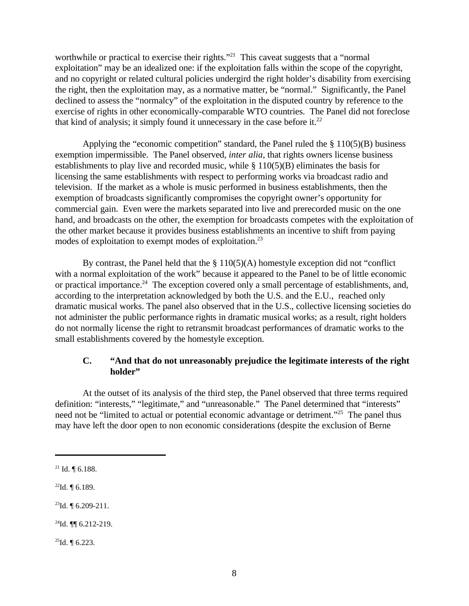worthwhile or practical to exercise their rights."<sup>21</sup> This caveat suggests that a "normal" exploitation" may be an idealized one: if the exploitation falls within the scope of the copyright, and no copyright or related cultural policies undergird the right holder's disability from exercising the right, then the exploitation may, as a normative matter, be "normal." Significantly, the Panel declined to assess the "normalcy" of the exploitation in the disputed country by reference to the exercise of rights in other economically-comparable WTO countries. The Panel did not foreclose that kind of analysis; it simply found it unnecessary in the case before it. $22$ 

Applying the "economic competition" standard, the Panel ruled the  $\S 110(5)(B)$  business exemption impermissible. The Panel observed, *inter alia*, that rights owners license business establishments to play live and recorded music, while § 110(5)(B) eliminates the basis for licensing the same establishments with respect to performing works via broadcast radio and television. If the market as a whole is music performed in business establishments, then the exemption of broadcasts significantly compromises the copyright owner's opportunity for commercial gain. Even were the markets separated into live and prerecorded music on the one hand, and broadcasts on the other, the exemption for broadcasts competes with the exploitation of the other market because it provides business establishments an incentive to shift from paying modes of exploitation to exempt modes of exploitation.<sup>23</sup>

By contrast, the Panel held that the § 110(5)(A) homestyle exception did not "conflict with a normal exploitation of the work" because it appeared to the Panel to be of little economic or practical importance.<sup>24</sup> The exception covered only a small percentage of establishments, and, according to the interpretation acknowledged by both the U.S. and the E.U., reached only dramatic musical works. The panel also observed that in the U.S., collective licensing societies do not administer the public performance rights in dramatic musical works; as a result, right holders do not normally license the right to retransmit broadcast performances of dramatic works to the small establishments covered by the homestyle exception.

#### **C. "And that do not unreasonably prejudice the legitimate interests of the right holder"**

At the outset of its analysis of the third step, the Panel observed that three terms required definition: "interests," "legitimate," and "unreasonable." The Panel determined that "interests" need not be "limited to actual or potential economic advantage or detriment."<sup>25</sup> The panel thus may have left the door open to non economic considerations (despite the exclusion of Berne

- $^{22}$ Id. ¶ 6.189.
- $^{23}$ Id. ¶ 6.209-211.
- $^{24}$ Id. ¶¶ 6.212-219.

 $^{25}$ Id. ¶ 6.223.

 $21$  Id. ¶ 6.188.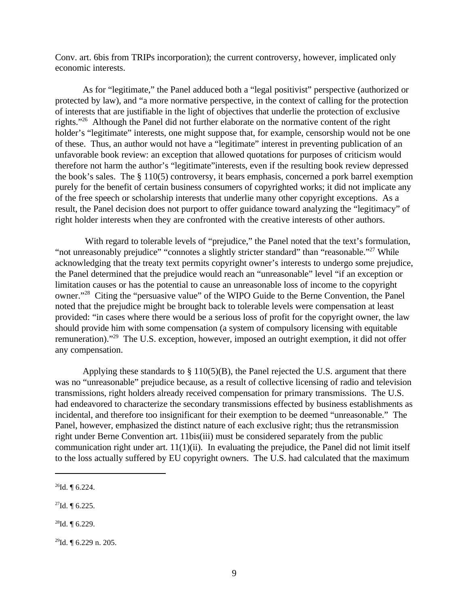Conv. art. 6bis from TRIPs incorporation); the current controversy, however, implicated only economic interests.

As for "legitimate," the Panel adduced both a "legal positivist" perspective (authorized or protected by law), and "a more normative perspective, in the context of calling for the protection of interests that are justifiable in the light of objectives that underlie the protection of exclusive rights."<sup>26</sup> Although the Panel did not further elaborate on the normative content of the right holder's "legitimate" interests, one might suppose that, for example, censorship would not be one of these. Thus, an author would not have a "legitimate" interest in preventing publication of an unfavorable book review: an exception that allowed quotations for purposes of criticism would therefore not harm the author's "legitimate"interests, even if the resulting book review depressed the book's sales. The § 110(5) controversy, it bears emphasis, concerned a pork barrel exemption purely for the benefit of certain business consumers of copyrighted works; it did not implicate any of the free speech or scholarship interests that underlie many other copyright exceptions. As a result, the Panel decision does not purport to offer guidance toward analyzing the "legitimacy" of right holder interests when they are confronted with the creative interests of other authors.

With regard to tolerable levels of "prejudice," the Panel noted that the text's formulation, "not unreasonably prejudice" "connotes a slightly stricter standard" than "reasonable."<sup>27</sup> While acknowledging that the treaty text permits copyright owner's interests to undergo some prejudice, the Panel determined that the prejudice would reach an "unreasonable" level "if an exception or limitation causes or has the potential to cause an unreasonable loss of income to the copyright owner."<sup>28</sup> Citing the "persuasive value" of the WIPO Guide to the Berne Convention, the Panel noted that the prejudice might be brought back to tolerable levels were compensation at least provided: "in cases where there would be a serious loss of profit for the copyright owner, the law should provide him with some compensation (a system of compulsory licensing with equitable remuneration)."<sup>29</sup> The U.S. exception, however, imposed an outright exemption, it did not offer any compensation.

Applying these standards to  $\S 110(5)(B)$ , the Panel rejected the U.S. argument that there was no "unreasonable" prejudice because, as a result of collective licensing of radio and television transmissions, right holders already received compensation for primary transmissions. The U.S. had endeavored to characterize the secondary transmissions effected by business establishments as incidental, and therefore too insignificant for their exemption to be deemed "unreasonable." The Panel, however, emphasized the distinct nature of each exclusive right; thus the retransmission right under Berne Convention art. 11bis(iii) must be considered separately from the public communication right under art. 11(1)(ii). In evaluating the prejudice, the Panel did not limit itself to the loss actually suffered by EU copyright owners. The U.S. had calculated that the maximum

 $^{26}$ Id. ¶ 6.224.

 $^{27}$ Id. ¶ 6.225.

 $^{28}$ Id. ¶ 6.229.

 $^{29}$ Id. ¶ 6.229 n. 205.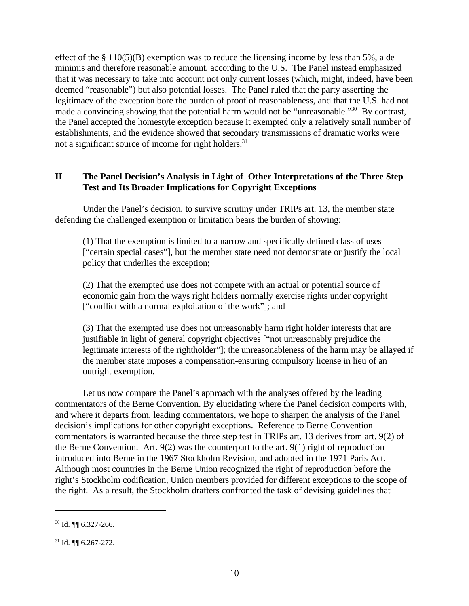effect of the § 110(5)(B) exemption was to reduce the licensing income by less than 5%, a de minimis and therefore reasonable amount, according to the U.S. The Panel instead emphasized that it was necessary to take into account not only current losses (which, might, indeed, have been deemed "reasonable") but also potential losses. The Panel ruled that the party asserting the legitimacy of the exception bore the burden of proof of reasonableness, and that the U.S. had not made a convincing showing that the potential harm would not be "unreasonable."<sup>30</sup> By contrast, the Panel accepted the homestyle exception because it exempted only a relatively small number of establishments, and the evidence showed that secondary transmissions of dramatic works were not a significant source of income for right holders.<sup>31</sup>

#### **II The Panel Decision's Analysis in Light of Other Interpretations of the Three Step Test and Its Broader Implications for Copyright Exceptions**

Under the Panel's decision, to survive scrutiny under TRIPs art. 13, the member state defending the challenged exemption or limitation bears the burden of showing:

(1) That the exemption is limited to a narrow and specifically defined class of uses ["certain special cases"], but the member state need not demonstrate or justify the local policy that underlies the exception;

(2) That the exempted use does not compete with an actual or potential source of economic gain from the ways right holders normally exercise rights under copyright ["conflict with a normal exploitation of the work"]; and

(3) That the exempted use does not unreasonably harm right holder interests that are justifiable in light of general copyright objectives ["not unreasonably prejudice the legitimate interests of the rightholder"]; the unreasonableness of the harm may be allayed if the member state imposes a compensation-ensuring compulsory license in lieu of an outright exemption.

Let us now compare the Panel's approach with the analyses offered by the leading commentators of the Berne Convention. By elucidating where the Panel decision comports with, and where it departs from, leading commentators, we hope to sharpen the analysis of the Panel decision's implications for other copyright exceptions. Reference to Berne Convention commentators is warranted because the three step test in TRIPs art. 13 derives from art. 9(2) of the Berne Convention. Art. 9(2) was the counterpart to the art. 9(1) right of reproduction introduced into Berne in the 1967 Stockholm Revision, and adopted in the 1971 Paris Act. Although most countries in the Berne Union recognized the right of reproduction before the right's Stockholm codification, Union members provided for different exceptions to the scope of the right. As a result, the Stockholm drafters confronted the task of devising guidelines that

<sup>30</sup> Id. ¶¶ 6.327-266.

<sup>31</sup> Id. ¶¶ 6.267-272.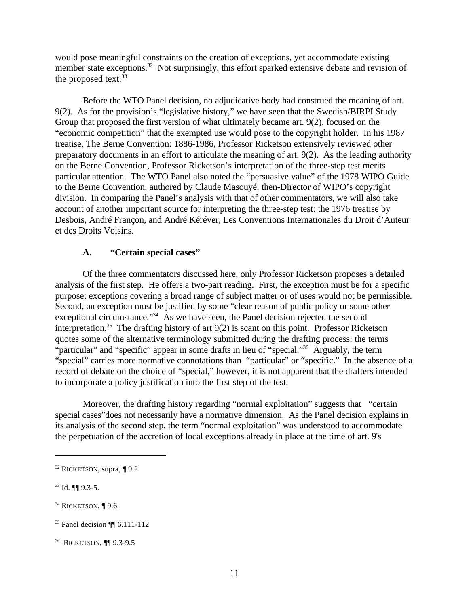would pose meaningful constraints on the creation of exceptions, yet accommodate existing member state exceptions.<sup>32</sup> Not surprisingly, this effort sparked extensive debate and revision of the proposed text.<sup>33</sup>

Before the WTO Panel decision, no adjudicative body had construed the meaning of art. 9(2). As for the provision's "legislative history," we have seen that the Swedish/BIRPI Study Group that proposed the first version of what ultimately became art. 9(2), focused on the "economic competition" that the exempted use would pose to the copyright holder. In his 1987 treatise, The Berne Convention: 1886-1986, Professor Ricketson extensively reviewed other preparatory documents in an effort to articulate the meaning of art. 9(2). As the leading authority on the Berne Convention, Professor Ricketson's interpretation of the three-step test merits particular attention. The WTO Panel also noted the "persuasive value" of the 1978 WIPO Guide to the Berne Convention, authored by Claude Masouyé, then-Director of WIPO's copyright division. In comparing the Panel's analysis with that of other commentators, we will also take account of another important source for interpreting the three-step test: the 1976 treatise by Desbois, André Françon, and André Kéréver, Les Conventions Internationales du Droit d'Auteur et des Droits Voisins.

#### **A. "Certain special cases"**

Of the three commentators discussed here, only Professor Ricketson proposes a detailed analysis of the first step. He offers a two-part reading. First, the exception must be for a specific purpose; exceptions covering a broad range of subject matter or of uses would not be permissible. Second, an exception must be justified by some "clear reason of public policy or some other exceptional circumstance."<sup>34</sup> As we have seen, the Panel decision rejected the second interpretation.<sup>35</sup> The drafting history of art  $9(2)$  is scant on this point. Professor Ricketson quotes some of the alternative terminology submitted during the drafting process: the terms "particular" and "specific" appear in some drafts in lieu of "special."<sup>36</sup> Arguably, the term "special" carries more normative connotations than "particular" or "specific." In the absence of a record of debate on the choice of "special," however, it is not apparent that the drafters intended to incorporate a policy justification into the first step of the test.

Moreover, the drafting history regarding "normal exploitation" suggests that "certain special cases"does not necessarily have a normative dimension. As the Panel decision explains in its analysis of the second step, the term "normal exploitation" was understood to accommodate the perpetuation of the accretion of local exceptions already in place at the time of art. 9's

 $32$  RICKETSON, supra,  $\P$  9.2

<sup>33</sup> Id. ¶¶ 9.3-5.

 $34$  RICKETSON,  $\P$  9.6.

<sup>35</sup> Panel decision ¶¶ 6.111-112

<sup>36</sup> RICKETSON, ¶¶ 9.3-9.5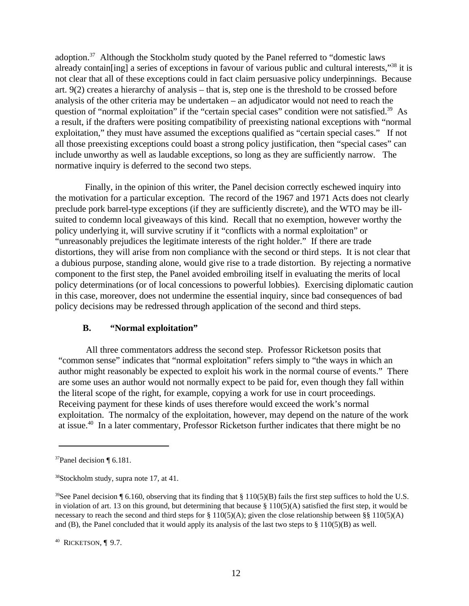adoption.<sup>37</sup> Although the Stockholm study quoted by the Panel referred to "domestic laws" already contain[ing] a series of exceptions in favour of various public and cultural interests,"<sup>38</sup> it is not clear that all of these exceptions could in fact claim persuasive policy underpinnings. Because art. 9(2) creates a hierarchy of analysis – that is, step one is the threshold to be crossed before analysis of the other criteria may be undertaken – an adjudicator would not need to reach the question of "normal exploitation" if the "certain special cases" condition were not satisfied.<sup>39</sup> As a result, if the drafters were positing compatibility of preexisting national exceptions with "normal exploitation," they must have assumed the exceptions qualified as "certain special cases." If not all those preexisting exceptions could boast a strong policy justification, then "special cases" can include unworthy as well as laudable exceptions, so long as they are sufficiently narrow. The normative inquiry is deferred to the second two steps.

 Finally, in the opinion of this writer, the Panel decision correctly eschewed inquiry into the motivation for a particular exception. The record of the 1967 and 1971 Acts does not clearly preclude pork barrel-type exceptions (if they are sufficiently discrete), and the WTO may be illsuited to condemn local giveaways of this kind. Recall that no exemption, however worthy the policy underlying it, will survive scrutiny if it "conflicts with a normal exploitation" or "unreasonably prejudices the legitimate interests of the right holder." If there are trade distortions, they will arise from non compliance with the second or third steps. It is not clear that a dubious purpose, standing alone, would give rise to a trade distortion. By rejecting a normative component to the first step, the Panel avoided embroiling itself in evaluating the merits of local policy determinations (or of local concessions to powerful lobbies). Exercising diplomatic caution in this case, moreover, does not undermine the essential inquiry, since bad consequences of bad policy decisions may be redressed through application of the second and third steps.

#### **B. "Normal exploitation"**

All three commentators address the second step. Professor Ricketson posits that "common sense" indicates that "normal exploitation" refers simply to "the ways in which an author might reasonably be expected to exploit his work in the normal course of events." There are some uses an author would not normally expect to be paid for, even though they fall within the literal scope of the right, for example, copying a work for use in court proceedings. Receiving payment for these kinds of uses therefore would exceed the work's normal exploitation. The normalcy of the exploitation, however, may depend on the nature of the work at issue.40 In a later commentary, Professor Ricketson further indicates that there might be no

 $37$ Panel decision ¶ 6.181.

<sup>38</sup>Stockholm study, supra note 17, at 41.

<sup>&</sup>lt;sup>39</sup>See Panel decision ¶ 6.160, observing that its finding that § 110(5)(B) fails the first step suffices to hold the U.S. in violation of art. 13 on this ground, but determining that because  $\S$  110(5)(A) satisfied the first step, it would be necessary to reach the second and third steps for § 110(5)(A); given the close relationship between §§ 110(5)(A) and (B), the Panel concluded that it would apply its analysis of the last two steps to  $\S 110(5)(B)$  as well.

<sup>&</sup>lt;sup>40</sup> RICKETSON, ¶ 9.7.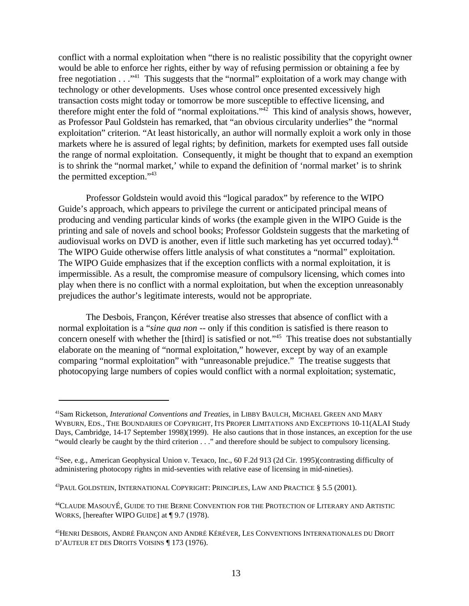conflict with a normal exploitation when "there is no realistic possibility that the copyright owner would be able to enforce her rights, either by way of refusing permission or obtaining a fee by free negotiation . . ."<sup>41</sup> This suggests that the "normal" exploitation of a work may change with technology or other developments. Uses whose control once presented excessively high transaction costs might today or tomorrow be more susceptible to effective licensing, and therefore might enter the fold of "normal exploitations."<sup>42</sup> This kind of analysis shows, however, as Professor Paul Goldstein has remarked, that "an obvious circularity underlies" the "normal exploitation" criterion. "At least historically, an author will normally exploit a work only in those markets where he is assured of legal rights; by definition, markets for exempted uses fall outside the range of normal exploitation. Consequently, it might be thought that to expand an exemption is to shrink the "normal market,' while to expand the definition of 'normal market' is to shrink the permitted exception."<sup>43</sup>

Professor Goldstein would avoid this "logical paradox" by reference to the WIPO Guide's approach, which appears to privilege the current or anticipated principal means of producing and vending particular kinds of works (the example given in the WIPO Guide is the printing and sale of novels and school books; Professor Goldstein suggests that the marketing of audiovisual works on DVD is another, even if little such marketing has yet occurred today).<sup>44</sup> The WIPO Guide otherwise offers little analysis of what constitutes a "normal" exploitation. The WIPO Guide emphasizes that if the exception conflicts with a normal exploitation, it is impermissible. As a result, the compromise measure of compulsory licensing, which comes into play when there is no conflict with a normal exploitation, but when the exception unreasonably prejudices the author's legitimate interests, would not be appropriate.

The Desbois, Françon, Kéréver treatise also stresses that absence of conflict with a normal exploitation is a "*sine qua non* -- only if this condition is satisfied is there reason to concern oneself with whether the [third] is satisfied or not*.*" <sup>45</sup> This treatise does not substantially elaborate on the meaning of "normal exploitation," however, except by way of an example comparing "normal exploitation" with "unreasonable prejudice." The treatise suggests that photocopying large numbers of copies would conflict with a normal exploitation; systematic,

<sup>41</sup>Sam Ricketson, *Interational Conventions and Treaties*, in LIBBY BAULCH, MICHAEL GREEN AND MARY WYBURN, EDS., THE BOUNDARIES OF COPYRIGHT, ITS PROPER LIMITATIONS AND EXCEPTIONS 10-11(ALAI Study Days, Cambridge, 14-17 September 1998)(1999). He also cautions that in those instances, an exception for the use "would clearly be caught by the third criterion . . ." and therefore should be subject to compulsory licensing.

<sup>&</sup>lt;sup>42</sup>See, e.g., American Geophysical Union v. Texaco, Inc., 60 F.2d 913 (2d Cir. 1995)(contrasting difficulty of administering photocopy rights in mid-seventies with relative ease of licensing in mid-nineties).

<sup>43</sup>PAUL GOLDSTEIN, INTERNATIONAL COPYRIGHT: PRINCIPLES, LAW AND PRACTICE § 5.5 (2001).

<sup>44</sup>CLAUDE MASOUYÉ, GUIDE TO THE BERNE CONVENTION FOR THE PROTECTION OF LITERARY AND ARTISTIC WORKS, [hereafter WIPO GUIDE] at ¶ 9.7 (1978).

<sup>45</sup>HENRI DESBOIS, ANDRÉ FRANÇON AND ANDRÉ KÉRÉVER, LES CONVENTIONS INTERNATIONALES DU DROIT D'AUTEUR ET DES DROITS VOISINS ¶ 173 (1976).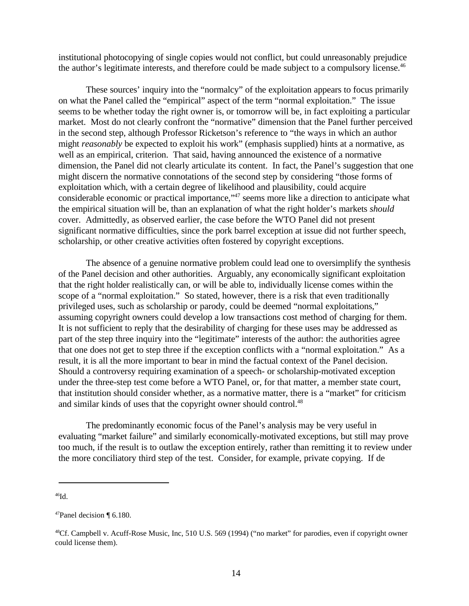institutional photocopying of single copies would not conflict, but could unreasonably prejudice the author's legitimate interests, and therefore could be made subject to a compulsory license.<sup>46</sup>

These sources' inquiry into the "normalcy" of the exploitation appears to focus primarily on what the Panel called the "empirical" aspect of the term "normal exploitation." The issue seems to be whether today the right owner is, or tomorrow will be, in fact exploiting a particular market. Most do not clearly confront the "normative" dimension that the Panel further perceived in the second step, although Professor Ricketson's reference to "the ways in which an author might *reasonably* be expected to exploit his work" (emphasis supplied) hints at a normative, as well as an empirical, criterion. That said, having announced the existence of a normative dimension, the Panel did not clearly articulate its content. In fact, the Panel's suggestion that one might discern the normative connotations of the second step by considering "those forms of exploitation which, with a certain degree of likelihood and plausibility, could acquire considerable economic or practical importance,"<sup>47</sup> seems more like a direction to anticipate what the empirical situation will be, than an explanation of what the right holder's markets *should* cover. Admittedly, as observed earlier, the case before the WTO Panel did not present significant normative difficulties, since the pork barrel exception at issue did not further speech, scholarship, or other creative activities often fostered by copyright exceptions.

The absence of a genuine normative problem could lead one to oversimplify the synthesis of the Panel decision and other authorities. Arguably, any economically significant exploitation that the right holder realistically can, or will be able to, individually license comes within the scope of a "normal exploitation." So stated, however, there is a risk that even traditionally privileged uses, such as scholarship or parody, could be deemed "normal exploitations," assuming copyright owners could develop a low transactions cost method of charging for them. It is not sufficient to reply that the desirability of charging for these uses may be addressed as part of the step three inquiry into the "legitimate" interests of the author: the authorities agree that one does not get to step three if the exception conflicts with a "normal exploitation." As a result, it is all the more important to bear in mind the factual context of the Panel decision. Should a controversy requiring examination of a speech- or scholarship-motivated exception under the three-step test come before a WTO Panel, or, for that matter, a member state court, that institution should consider whether, as a normative matter, there is a "market" for criticism and similar kinds of uses that the copyright owner should control.<sup>48</sup>

The predominantly economic focus of the Panel's analysis may be very useful in evaluating "market failure" and similarly economically-motivated exceptions, but still may prove too much, if the result is to outlaw the exception entirely, rather than remitting it to review under the more conciliatory third step of the test. Consider, for example, private copying. If de

 $^{46}$ Id.

 $47$ Panel decision ¶ 6.180.

<sup>&</sup>lt;sup>48</sup>Cf. Campbell v. Acuff-Rose Music, Inc, 510 U.S. 569 (1994) ("no market" for parodies, even if copyright owner could license them).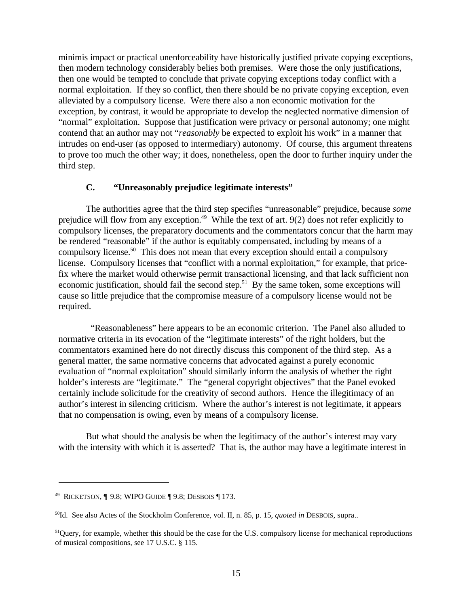minimis impact or practical unenforceability have historically justified private copying exceptions, then modern technology considerably belies both premises. Were those the only justifications, then one would be tempted to conclude that private copying exceptions today conflict with a normal exploitation. If they so conflict, then there should be no private copying exception, even alleviated by a compulsory license. Were there also a non economic motivation for the exception, by contrast, it would be appropriate to develop the neglected normative dimension of "normal" exploitation. Suppose that justification were privacy or personal autonomy; one might contend that an author may not "*reasonably* be expected to exploit his work" in a manner that intrudes on end-user (as opposed to intermediary) autonomy. Of course, this argument threatens to prove too much the other way; it does, nonetheless, open the door to further inquiry under the third step.

#### **C. "Unreasonably prejudice legitimate interests"**

The authorities agree that the third step specifies "unreasonable" prejudice, because *some* prejudice will flow from any exception.<sup>49</sup> While the text of art.  $9(2)$  does not refer explicitly to compulsory licenses, the preparatory documents and the commentators concur that the harm may be rendered "reasonable" if the author is equitably compensated, including by means of a compulsory license.<sup>50</sup> This does not mean that every exception should entail a compulsory license. Compulsory licenses that "conflict with a normal exploitation," for example, that pricefix where the market would otherwise permit transactional licensing, and that lack sufficient non economic justification, should fail the second step.<sup>51</sup> By the same token, some exceptions will cause so little prejudice that the compromise measure of a compulsory license would not be required.

 "Reasonableness" here appears to be an economic criterion. The Panel also alluded to normative criteria in its evocation of the "legitimate interests" of the right holders, but the commentators examined here do not directly discuss this component of the third step. As a general matter, the same normative concerns that advocated against a purely economic evaluation of "normal exploitation" should similarly inform the analysis of whether the right holder's interests are "legitimate." The "general copyright objectives" that the Panel evoked certainly include solicitude for the creativity of second authors. Hence the illegitimacy of an author's interest in silencing criticism. Where the author's interest is not legitimate, it appears that no compensation is owing, even by means of a compulsory license.

But what should the analysis be when the legitimacy of the author's interest may vary with the intensity with which it is asserted? That is, the author may have a legitimate interest in

<sup>49</sup> RICKETSON, ¶ 9.8; WIPO GUIDE ¶ 9.8; DESBOIS ¶ 173.

<sup>50</sup>Id. See also Actes of the Stockholm Conference, vol. II, n. 85, p. 15, *quoted in* DESBOIS, supra..

 $<sup>51</sup>$ Query, for example, whether this should be the case for the U.S. compulsory license for mechanical reproductions</sup> of musical compositions, see 17 U.S.C. § 115.